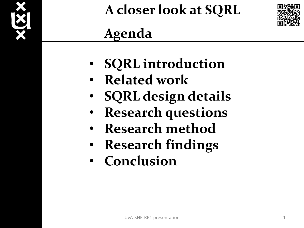



## **Agenda**

- **SQRL introduction**
- **Related work**
- **SQRL design details**
- **Research questions**
- **Research method**
- **Research findings**
- **Conclusion**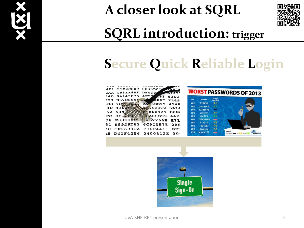



### **SQRL introduction: trigger**

### **Secure Quick Reliable Login**

| $\cdots$                         |               |
|----------------------------------|---------------|
| 21B2C809<br>8833B0C<br>4 F 1     | 2952          |
| CB3EE8EF<br><b>DF0381</b><br>CAA | A1421         |
| 04143B75<br>4F57<br>44 D         | EB3<br>535CI  |
| <b>B57C659L</b>                  | <b>EE07</b>   |
| ₹D9                              | <b>FA49</b>   |
| 9A6DD29<br>7 D<br>;DB            | <b>454E</b>   |
| 4100                             | 34E072        |
| 4D                               | 5A14          |
| 534                              | 860929        |
| 52                               | DBE2          |
| 0F1                              | <b>A60B99</b> |
| FC                               | 4421          |
| E08EDA                           | 457266E       |
| 78                               | E71           |
| B5928D82                         | 6C9C0575      |
| 81                               | 286           |
|                                  |               |
| CP26B3CA                         | FD6C4411      |
| 78                               | BE7           |
| D41F4256                         | 0400312E      |
| ١R                               | 301           |
|                                  |               |



| #03 | 12345678  |              |                         |
|-----|-----------|--------------|-------------------------|
| #04 | qwerty    | R1           |                         |
| #05 | abc123    | GT.          |                         |
| #06 | 123456789 | 688          |                         |
| #07 | 111111    | $\approx 2$  |                         |
| #08 | 1234567   | 85           |                         |
| #09 | iloveyou  | $2$          |                         |
| #10 | adobe123  | <b>GOOST</b> | legendi<br><b>Bower</b> |

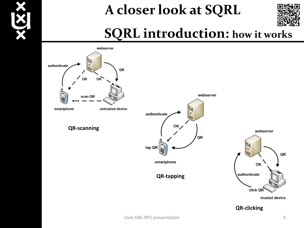



### **SQRL introduction: how it works**



**QR-clicking**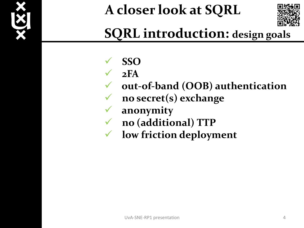



## **SQRL introduction: design goals**

- **SSO**
- $\sqrt{2FA}$
- **out-of-band (OOB) authentication**
- **no secret(s) exchange**
- **anonymity**
- **no (additional) TTP**
- **low friction deployment**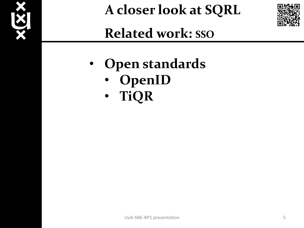



**Related work: SSO**

- **Open standards**
	- **OpenID**
	- **TiQR**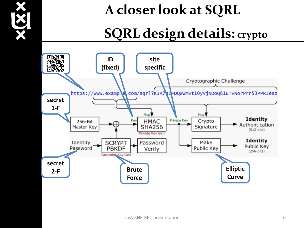

### **SQRL design details: crypto**

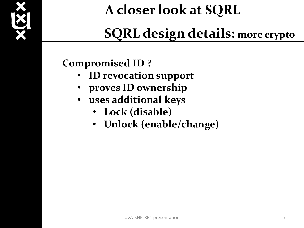

## **SQRL design details: more crypto**

### **Compromised ID ?**

- **ID revocation support**
- **proves ID ownership**
- **uses additional keys**
	- **Lock (disable)**
	- **Unlock (enable/change)**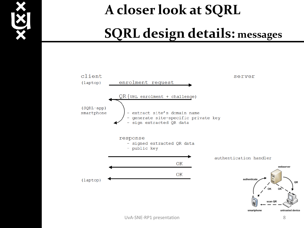

# **A closer look at SQRL SQRL design details: messages**

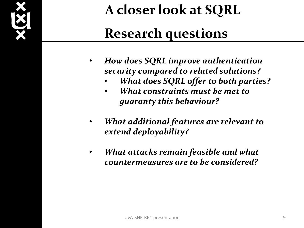

## **Research questions**

- *How does SQRL improve authentication security compared to related solutions?*
	- *What does SQRL offer to both parties?*
	- *What constraints must be met to guaranty this behaviour?*
- *What additional features are relevant to extend deployability?*
- *What attacks remain feasible and what countermeasures are to be considered?*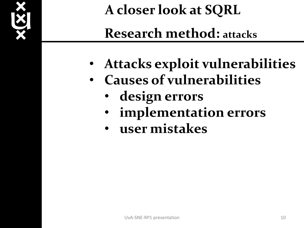

- **Attacks exploit vulnerabilities**
- **Causes of vulnerabilities**
	- **design errors**
	- **implementation errors**
	- **user mistakes**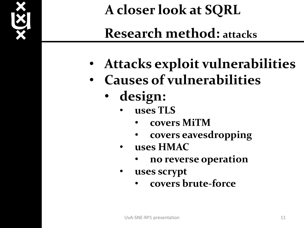

- **Attacks exploit vulnerabilities**
- **Causes of vulnerabilities**
	- **design:**
		- **uses TLS**
			- **covers MiTM**
			- **covers eavesdropping**
		- **uses HMAC**
			- **no reverse operation**
		- **uses scrypt**
			- **covers brute-force**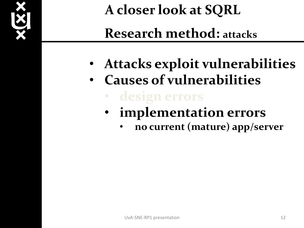

- **Attacks exploit vulnerabilities**
- **Causes of vulnerabilities**
	- **implementation errors**
		- **no current (mature) app/server**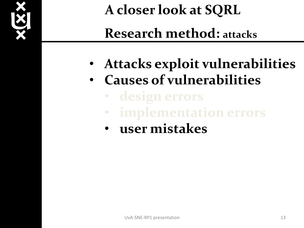

- **Attacks exploit vulnerabilities**
- **Causes of vulnerabilities**
	- - **implementation errors**
	- **user mistakes**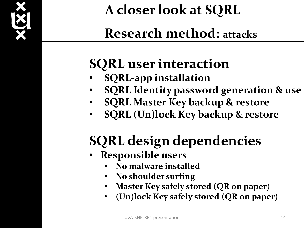

## **Research method: attacks**

## **SQRL user interaction**

- **SQRL-app installation**
- **SQRL Identity password generation & use**
- **SQRL Master Key backup & restore**
- **SQRL (Un)lock Key backup & restore**

# **SQRL design dependencies**

- **Responsible users**
	- **No malware installed**
	- **No shoulder surfing**
	- **Master Key safely stored (QR on paper)**
	- **(Un)lock Key safely stored (QR on paper)**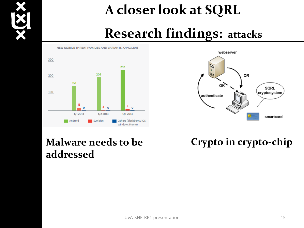

### **Research findings: attacks**

#### NEW MOBILE THREAT FAMILIES AND VARIANTS, Q1-Q3 2013





### **Malware needs to be addressed**

### **Crypto in crypto-chip**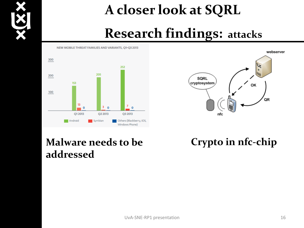

### **Research findings: attacks**

#### 300 252 205 200 153 100 13  $\frac{7}{2}$  0  $3<sub>0</sub>$  $\overline{\phantom{0}}$ Q12013 Q2 2013 Q3 2013 Android Others (Blackberry, iOS, Symbian Windows Phone)

NEW MOBILE THREAT FAMILIES AND VARIANTS, O1-O3 2013



### **Malware needs to be addressed**

**Crypto in nfc-chip**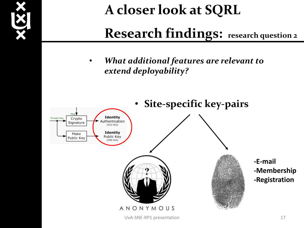

### **Research findings: research question 2**

• *What additional features are relevant to extend deployability?*

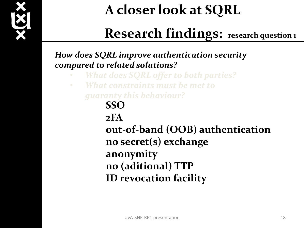

### **Research findings: research question 1**

*How does SQRL improve authentication security compared to related solutions?*

- *What does SQRL offer to both parties?*
- *What constraints must be met to guaranty this behaviour?*

**SSO** 

**2FA** 

**out-of-band (OOB) authentication no secret(s) exchange anonymity no (aditional) TTP ID revocation facility**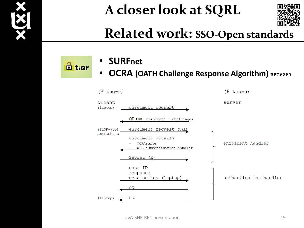



### **Related work: SSO-Open standards**

 $\frac{1}{\Box}$  tior

- **SURFnet**
- **OCRA (OATH Challenge Response Algorithm)** RFC6287

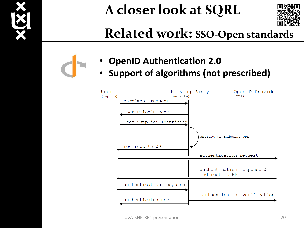



### **Related work: SSO-Open standards**

- **OpenID Authentication 2.0**
- **Support of algorithms (not prescribed)**

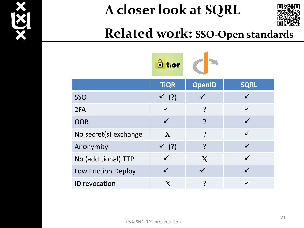



### **Related work: SSO-Open standards**

|                            | <b>E</b> tier       |               |             |
|----------------------------|---------------------|---------------|-------------|
|                            | <b>TiQR</b>         | <b>OpenID</b> | <b>SQRL</b> |
| <b>SSO</b>                 | $\checkmark$ (?)    |               |             |
| 2FA                        |                     | $\gamma$      |             |
| <b>OOB</b>                 |                     | $\gamma$      |             |
| No secret(s) exchange      | X                   | $\gamma$      |             |
| Anonymity                  | (?)<br>$\checkmark$ | $\gamma$      |             |
| No (additional) TTP        |                     | X             |             |
| <b>Low Friction Deploy</b> |                     |               |             |
| <b>ID</b> revocation       |                     | ?             |             |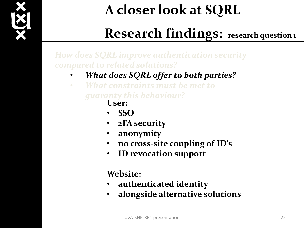

### **Research findings: research question 1**

*How does SQRL improve authentication security compared to related solutions?*

- *What does SQRL offer to both parties?*
- *What constraints must be met to guaranty this behaviour?*
	- **User:**
	- **SSO**
	- **2FA security**
	- **anonymity**
	- **no cross-site coupling of ID's**
	- **ID revocation support**

### **Website:**

- **authenticated identity**
- **alongside alternative solutions**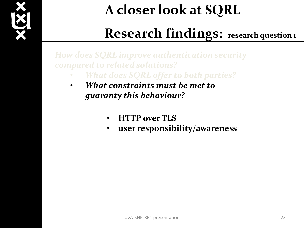

### **Research findings: research question 1**

*How does SQRL improve authentication security compared to related solutions?*

- *What does SQRL offer to both parties?*
- *What constraints must be met to guaranty this behaviour?*
	- **HTTP over TLS**
	- **user responsibility/awareness**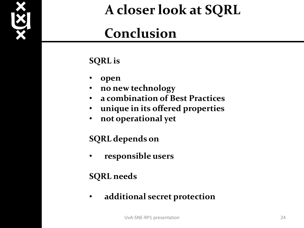

### **Conclusion**

### **SQRL is**

- **open**
- **no new technology**
- **a combination of Best Practices**
- **unique in its offered properties**
- **not operational yet**

### **SQRL depends on**

• **responsible users**

### **SQRL needs**

• **additional secret protection**